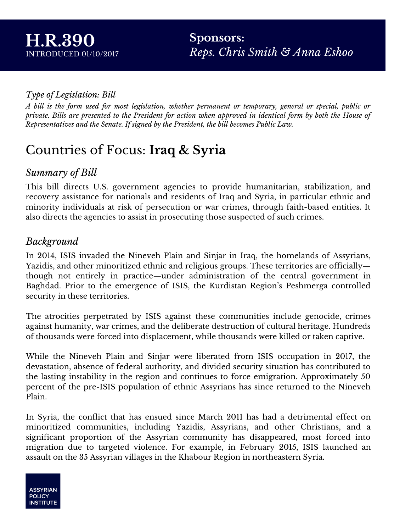#### *Type of Legislation: Bill*

A bill is the form used for most legislation, whether permanent or temporary, general or special, public or private. Bills are presented to the President for action when approved in identical form by both the House of *Representatives and the Senate. If signed by the President, the bill becomes Public Law.*

# Countries of Focus: **Iraq & Syria**

#### *Summary of Bill*

This bill directs U.S. government agencies to provide humanitarian, stabilization, and recovery assistance for nationals and residents of Iraq and Syria, in particular ethnic and minority individuals at risk of persecution or war crimes, through faith-based entities. It also directs the agencies to assist in prosecuting those suspected of such crimes.

### *Background*

In 2014, ISIS invaded the Nineveh Plain and Sinjar in Iraq, the homelands of Assyrians, Yazidis, and other minoritized ethnic and religious groups. These territories are officially though not entirely in practice—under administration of the central government in Baghdad. Prior to the emergence of ISIS, the Kurdistan Region's Peshmerga controlled security in these territories.

The atrocities perpetrated by ISIS against these communities include genocide, crimes against humanity, war crimes, and the deliberate destruction of cultural heritage. Hundreds of thousands were forced into displacement, while thousands were killed or taken captive.

While the Nineveh Plain and Sinjar were liberated from ISIS occupation in 2017, the devastation, absence of federal authority, and divided security situation has contributed to the lasting instability in the region and continues to force emigration. Approximately 50 percent of the pre-ISIS population of ethnic Assyrians has since returned to the Nineveh Plain.

In Syria, the conflict that has ensued since March 2011 has had a detrimental effect on minoritized communities, including Yazidis, Assyrians, and other Christians, and a significant proportion of the Assyrian community has disappeared, most forced into migration due to targeted violence. For example, in February 2015, ISIS launched an assault on the 35 Assyrian villages in the Khabour Region in northeastern Syria.

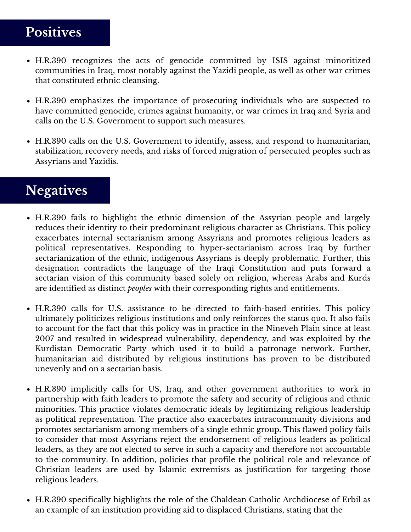# **Positives**

- H.R.390 recognizes the acts of genocide committed by ISIS against minoritized communities in Iraq, most notably against the Yazidi people, as well as other war crimes that constituted ethnic cleansing.
- H.R.390 emphasizes the importance of prosecuting individuals who are suspected to have committed genocide, crimes against humanity, or war crimes in Iraq and Syria and calls on the U.S. Government to support such measures.
- H.R.390 calls on the U.S. Government to identify, assess, and respond to humanitarian, stabilization, recovery needs, and risks of forced migration of persecuted peoples such as Assyrians and Yazidis.

## **Negatives**

- H.R.390 fails to highlight the ethnic dimension of the Assyrian people and largely reduces their identity to their predominant religious character as Christians. This policy exacerbates internal sectarianism among Assyrians and promotes religious leaders as political representatives. Responding to hyper-sectarianism across Iraq by further sectarianization of the ethnic, indigenous Assyrians is deeply problematic. Further, this designation contradicts the language of the Iraqi Constitution and puts forward a sectarian vision of this community based solely on religion, whereas Arabs and Kurds are identified as distinct *peoples* with their corresponding rights and entitlements.
- H.R.390 calls for U.S. assistance to be directed to faith-based entities. This policy ultimately politicizes religious institutions and only reinforces the status quo. It also fails to account for the fact that this policy was in practice in the Nineveh Plain since at least 2007 and resulted in widespread vulnerability, dependency, and was exploited by the Kurdistan Democratic Party which used it to build a patronage network. Further, humanitarian aid distributed by religious institutions has proven to be distributed unevenly and on a sectarian basis.
- H.R.390 implicitly calls for US, Iraq, and other government authorities to work in partnership with faith leaders to promote the safety and security of religious and ethnic minorities. This practice violates democratic ideals by legitimizing religious leadership as political representation. The practice also exacerbates intracommunity divisions and promotes sectarianism among members of a single ethnic group. This flawed policy fails to consider that most Assyrians reject the endorsement of religious leaders as political leaders, as they are not elected to serve in such a capacity and therefore not accountable to the community. In addition, policies that profile the political role and relevance of Christian leaders are used by Islamic extremists as justification for targeting those religious leaders.
- H.R.390 specifically highlights the role of the Chaldean Catholic Archdiocese of Erbil as an example of an institution providing aid to displaced Christians, stating that the